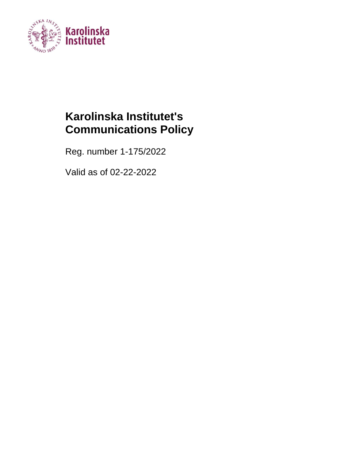

# **Karolinska Institutet's Communications Policy**

Reg. number 1-175/2022

Valid as of 02-22-2022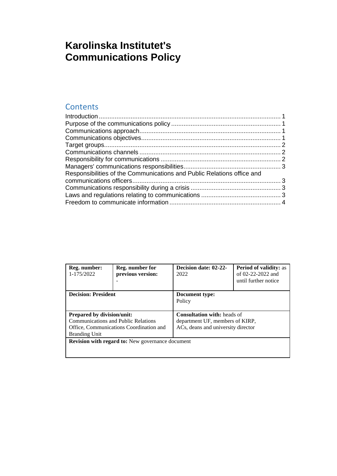## **Karolinska Institutet's Communications Policy**

#### **Contents**

| Reg. number:<br>1-175/2022                              | Reg. number for<br>previous version:    | Decision date: 02-22-<br>2022      | <b>Period of validity: as</b><br>of 02-22-2022 and<br>until further notice |  |
|---------------------------------------------------------|-----------------------------------------|------------------------------------|----------------------------------------------------------------------------|--|
| <b>Decision: President</b>                              |                                         | Document type:                     |                                                                            |  |
|                                                         |                                         | Policy                             |                                                                            |  |
|                                                         |                                         |                                    |                                                                            |  |
| <b>Prepared by division/unit:</b>                       |                                         | <b>Consultation with:</b> heads of |                                                                            |  |
| <b>Communications and Public Relations</b>              |                                         | department UF, members of KIRP,    |                                                                            |  |
|                                                         | Office, Communications Coordination and | ACs, deans and university director |                                                                            |  |
| <b>Branding Unit</b>                                    |                                         |                                    |                                                                            |  |
| <b>Revision with regard to:</b> New governance document |                                         |                                    |                                                                            |  |
|                                                         |                                         |                                    |                                                                            |  |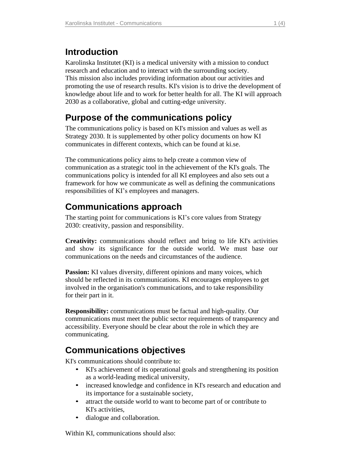#### <span id="page-2-0"></span>**Introduction**

Karolinska Institutet (KI) is a medical university with a mission to conduct research and education and to interact with the surrounding society. This mission also includes providing information about our activities and promoting the use of research results. KI's vision is to drive the development of knowledge about life and to work for better health for all. The KI will approach 2030 as a collaborative, global and cutting-edge university.

#### <span id="page-2-1"></span>**Purpose of the communications policy**

The communications policy is based on KI's mission and values as well as Strategy 2030. It is supplemented by other policy documents on how KI communicates in different contexts, which can be found at ki.se.

The communications policy aims to help create a common view of communication as a strategic tool in the achievement of the KI's goals. The communications policy is intended for all KI employees and also sets out a framework for how we communicate as well as defining the communications responsibilities of KI's employees and managers.

### <span id="page-2-2"></span>**Communications approach**

The starting point for communications is KI's core values from Strategy 2030: creativity, passion and responsibility.

**Creativity:** communications should reflect and bring to life KI's activities and show its significance for the outside world. We must base our communications on the needs and circumstances of the audience.

**Passion:** KI values diversity, different opinions and many voices, which should be reflected in its communications. KI encourages employees to get involved in the organisation's communications, and to take responsibility for their part in it.

**Responsibility:** communications must be factual and high-quality. Our communications must meet the public sector requirements of transparency and accessibility. Everyone should be clear about the role in which they are communicating.

### <span id="page-2-3"></span>**Communications objectives**

KI's communications should contribute to:

- KI's achievement of its operational goals and strengthening its position as a world-leading medical university,
- increased knowledge and confidence in KI's research and education and its importance for a sustainable society,
- attract the outside world to want to become part of or contribute to KI's activities,
- dialogue and collaboration.

Within KI, communications should also: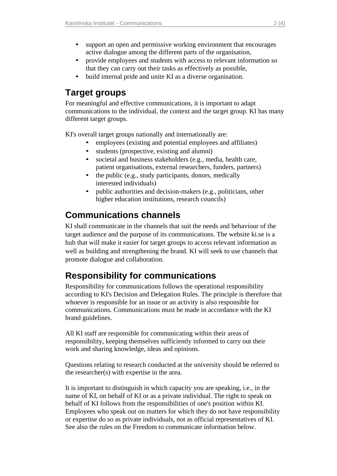- support an open and permissive working environment that encourages active dialogue among the different parts of the organisation,
- provide employees and students with access to relevant information so that they can carry out their tasks as effectively as possible,
- build internal pride and unite KI as a diverse organisation.

### <span id="page-3-0"></span>**Target groups**

For meaningful and effective communications, it is important to adapt communications to the individual, the context and the target group. KI has many different target groups.

KI's overall target groups nationally and internationally are:

- employees (existing and potential employees and affiliates)
- students (prospective, existing and alumni)
- societal and business stakeholders (e.g., media, health care, patient organisations, external researchers, funders, partners)
- the public (e.g., study participants, donors, medically interested individuals)
- public authorities and decision-makers (e.g., politicians, other higher education institutions, research councils)

#### <span id="page-3-1"></span>**Communications channels**

KI shall communicate in the channels that suit the needs and behaviour of the target audience and the purpose of its communications. The website ki.se is a hub that will make it easier for target groups to access relevant information as well as building and strengthening the brand. KI will seek to use channels that promote dialogue and collaboration.

### <span id="page-3-2"></span>**Responsibility for communications**

Responsibility for communications follows the operational responsibility according to KI's Decision and Delegation Rules. The principle is therefore that whoever is responsible for an issue or an activity is also responsible for communications. Communications must be made in accordance with the KI brand guidelines.

All KI staff are responsible for communicating within their areas of responsibility, keeping themselves sufficiently informed to carry out their work and sharing knowledge, ideas and opinions.

Questions relating to research conducted at the university should be referred to the researcher(s) with expertise in the area.

It is important to distinguish in which capacity you are speaking, i.e., in the name of KI, on behalf of KI or as a private individual. The right to speak on behalf of KI follows from the responsibilities of one's position within KI. Employees who speak out on matters for which they do not have responsibility or expertise do so as private individuals, not as official representatives of KI. See also the rules on the Freedom to communicate information below.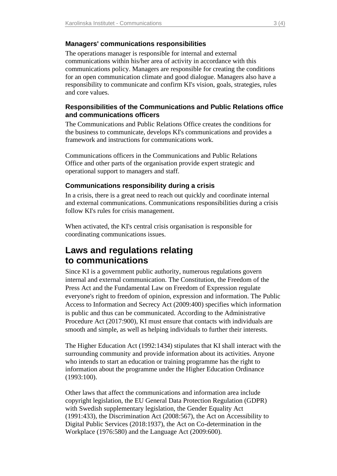#### <span id="page-4-0"></span>**Managers' communications responsibilities**

The operations manager is responsible for internal and external communications within his/her area of activity in accordance with this communications policy. Managers are responsible for creating the conditions for an open communication climate and good dialogue. Managers also have a responsibility to communicate and confirm KI's vision, goals, strategies, rules and core values.

#### <span id="page-4-1"></span>**Responsibilities of the Communications and Public Relations office and communications officers**

The Communications and Public Relations Office creates the conditions for the business to communicate, develops KI's communications and provides a framework and instructions for communications work.

Communications officers in the Communications and Public Relations Office and other parts of the organisation provide expert strategic and operational support to managers and staff.

#### <span id="page-4-2"></span>**Communications responsibility during a crisis**

In a crisis, there is a great need to reach out quickly and coordinate internal and external communications. Communications responsibilities during a crisis follow KI's rules for crisis management.

When activated, the KI's central crisis organisation is responsible for coordinating communications issues.

#### <span id="page-4-3"></span>**Laws and regulations relating to communications**

Since KI is a government public authority, numerous regulations govern internal and external communication. The Constitution, the Freedom of the Press Act and the Fundamental Law on Freedom of Expression regulate everyone's right to freedom of opinion, expression and information. The Public Access to Information and Secrecy Act (2009:400) specifies which information is public and thus can be communicated. According to the Administrative Procedure Act (2017:900), KI must ensure that contacts with individuals are smooth and simple, as well as helping individuals to further their interests.

The Higher Education Act (1992:1434) stipulates that KI shall interact with the surrounding community and provide information about its activities. Anyone who intends to start an education or training programme has the right to information about the programme under the Higher Education Ordinance (1993:100).

Other laws that affect the communications and information area include copyright legislation, the EU General Data Protection Regulation (GDPR) with Swedish supplementary legislation, the Gender Equality Act (1991:433), the Discrimination Act (2008:567), the Act on Accessibility to Digital Public Services (2018:1937), the Act on Co-determination in the Workplace (1976:580) and the Language Act (2009:600).